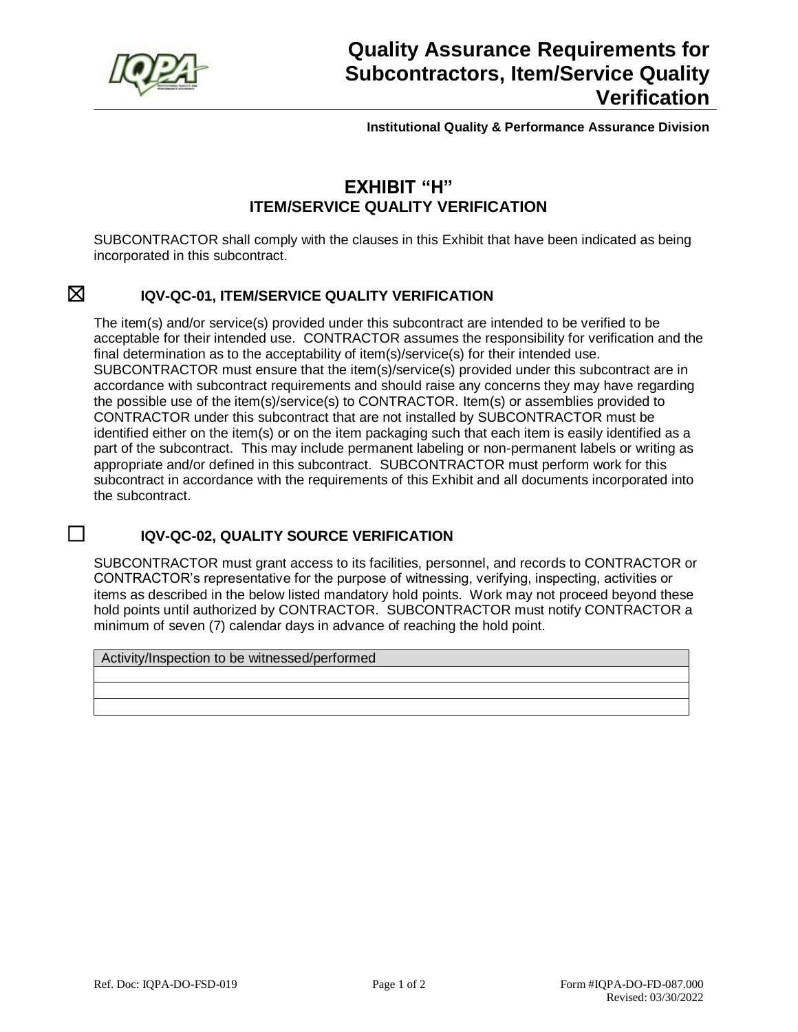

**Institutional Quality & Performance Assurance Division**

## **EXHIBIT "H" ITEM/SERVICE QUALITY VERIFICATION**

SUBCONTRACTOR shall comply with the clauses in this Exhibit that have been indicated as being incorporated in this subcontract.

#### ☒ **IQV-QC-01, ITEM/SERVICE QUALITY VERIFICATION**

The item(s) and/or service(s) provided under this subcontract are intended to be verified to be acceptable for their intended use. CONTRACTOR assumes the responsibility for verification and the final determination as to the acceptability of item(s)/service(s) for their intended use. SUBCONTRACTOR must ensure that the item(s)/service(s) provided under this subcontract are in accordance with subcontract requirements and should raise any concerns they may have regarding the possible use of the item(s)/service(s) to CONTRACTOR. Item(s) or assemblies provided to CONTRACTOR under this subcontract that are not installed by SUBCONTRACTOR must be identified either on the item(s) or on the item packaging such that each item is easily identified as a part of the subcontract. This may include permanent labeling or non-permanent labels or writing as appropriate and/or defined in this subcontract. SUBCONTRACTOR must perform work for this subcontract in accordance with the requirements of this Exhibit and all documents incorporated into the subcontract.

### ☐ **IQV-QC-02, QUALITY SOURCE VERIFICATION**

SUBCONTRACTOR must grant access to its facilities, personnel, and records to CONTRACTOR or CONTRACTOR's representative for the purpose of witnessing, verifying, inspecting, activities or items as described in the below listed mandatory hold points. Work may not proceed beyond these hold points until authorized by CONTRACTOR. SUBCONTRACTOR must notify CONTRACTOR a minimum of seven (7) calendar days in advance of reaching the hold point.

Activity/Inspection to be witnessed/performed